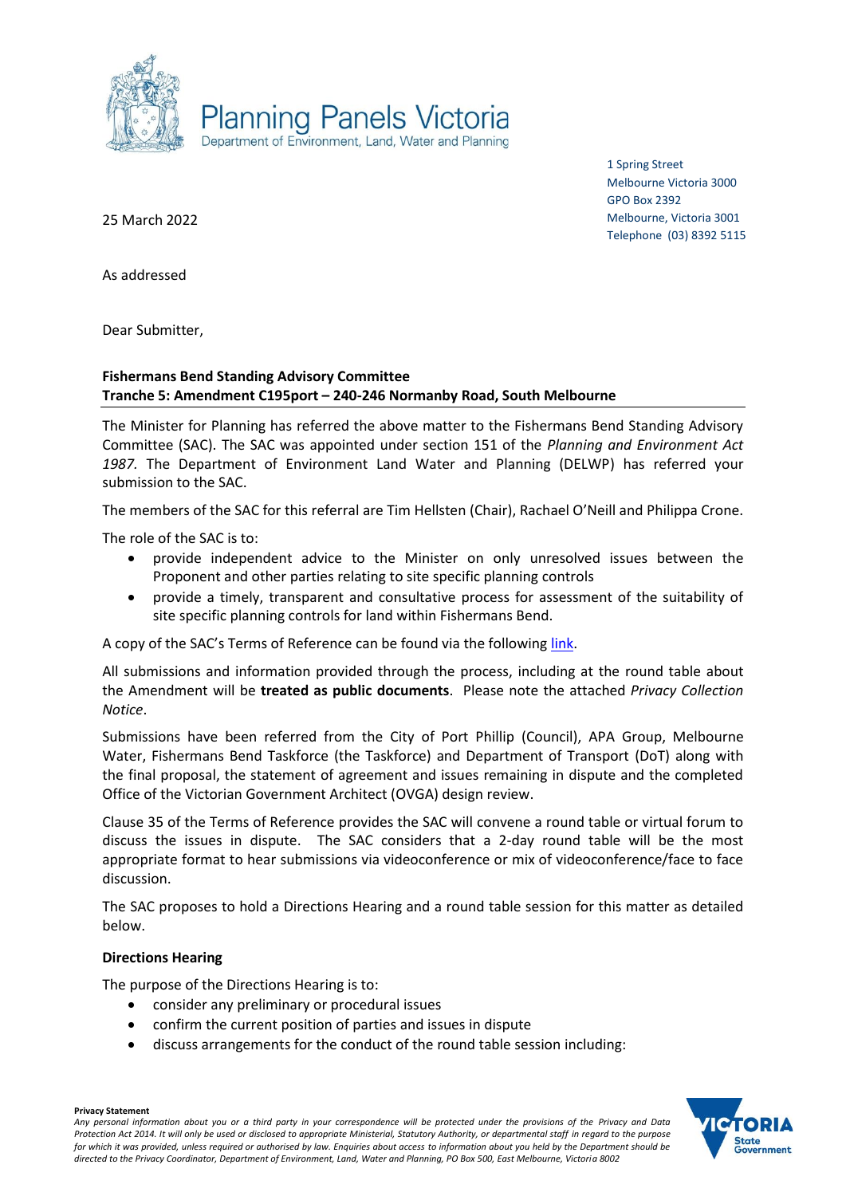

1 Spring Street Melbourne Victoria 3000 GPO Box 2392 Melbourne, Victoria 3001 Telephone (03) 8392 5115

25 March 2022

As addressed

Dear Submitter,

## **Fishermans Bend Standing Advisory Committee Tranche 5: Amendment C195port – 240-246 Normanby Road, South Melbourne**

The Minister for Planning has referred the above matter to the Fishermans Bend Standing Advisory Committee (SAC). The SAC was appointed under section 151 of the *Planning and Environment Act 1987.* The Department of Environment Land Water and Planning (DELWP) has referred your submission to the SAC.

The members of the SAC for this referral are Tim Hellsten (Chair), Rachael O'Neill and Philippa Crone.

The role of the SAC is to:

- provide independent advice to the Minister on only unresolved issues between the Proponent and other parties relating to site specific planning controls
- provide a timely, transparent and consultative process for assessment of the suitability of site specific planning controls for land within Fishermans Bend.

A copy of the SAC's Terms of Reference can be found via the following [link.](https://www.planning.vic.gov.au/__data/assets/pdf_file/0024/464550/FB-Standing-Advisory-Committee-Terms-of-Reference-29-April-2020.pdf)

All submissions and information provided through the process, including at the round table about the Amendment will be **treated as public documents**. Please note the attached *Privacy Collection Notice*.

Submissions have been referred from the City of Port Phillip (Council), APA Group, Melbourne Water, Fishermans Bend Taskforce (the Taskforce) and Department of Transport (DoT) along with the final proposal, the statement of agreement and issues remaining in dispute and the completed Office of the Victorian Government Architect (OVGA) design review.

Clause 35 of the Terms of Reference provides the SAC will convene a round table or virtual forum to discuss the issues in dispute. The SAC considers that a 2-day round table will be the most appropriate format to hear submissions via videoconference or mix of videoconference/face to face discussion.

The SAC proposes to hold a Directions Hearing and a round table session for this matter as detailed below.

## **Directions Hearing**

The purpose of the Directions Hearing is to:

- consider any preliminary or procedural issues
- confirm the current position of parties and issues in dispute
- discuss arrangements for the conduct of the round table session including:

tate overnment

**Privacy Statement**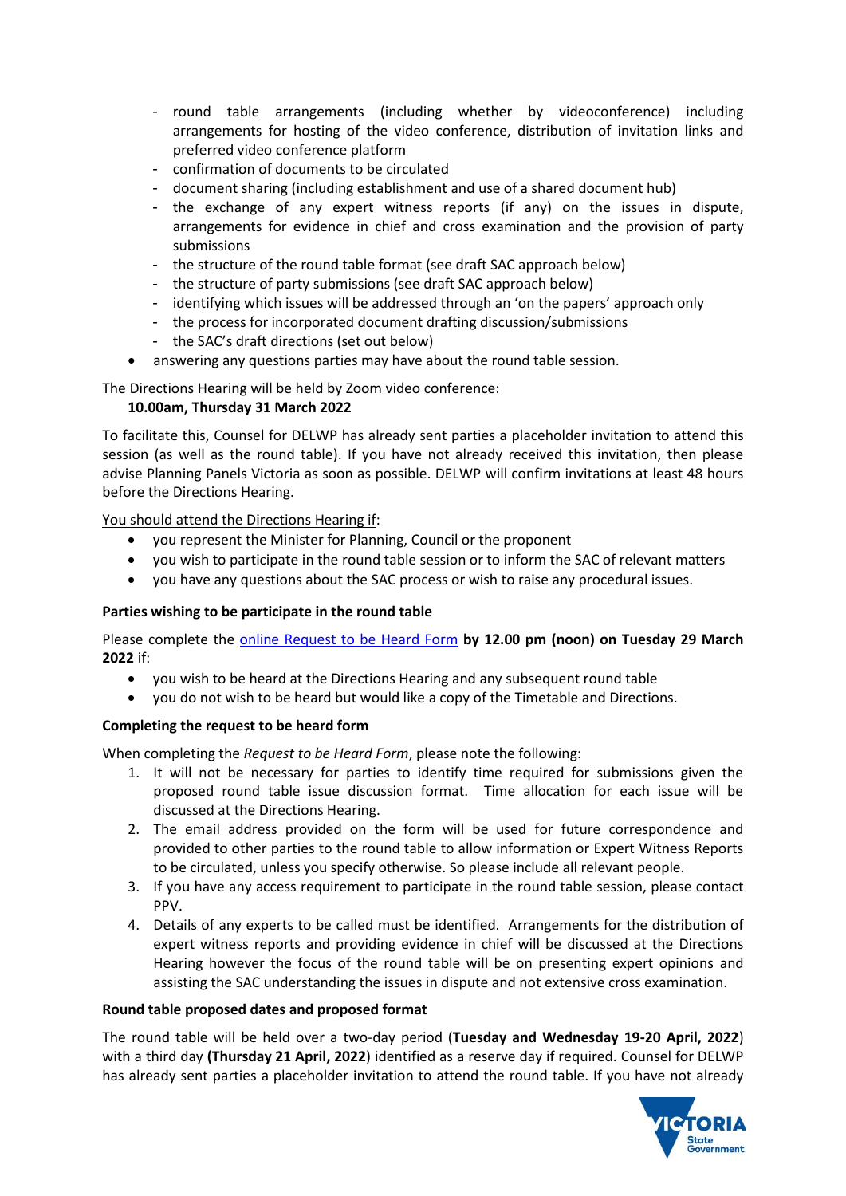- round table arrangements (including whether by videoconference) including arrangements for hosting of the video conference, distribution of invitation links and preferred video conference platform
- confirmation of documents to be circulated
- document sharing (including establishment and use of a shared document hub)
- the exchange of any expert witness reports (if any) on the issues in dispute, arrangements for evidence in chief and cross examination and the provision of party submissions
- the structure of the round table format (see draft SAC approach below)
- the structure of party submissions (see draft SAC approach below)
- identifying which issues will be addressed through an 'on the papers' approach only
- the process for incorporated document drafting discussion/submissions
- the SAC's draft directions (set out below)
- answering any questions parties may have about the round table session.

The Directions Hearing will be held by Zoom video conference:

# **10.00am, Thursday 31 March 2022**

To facilitate this, Counsel for DELWP has already sent parties a placeholder invitation to attend this session (as well as the round table). If you have not already received this invitation, then please advise Planning Panels Victoria as soon as possible. DELWP will confirm invitations at least 48 hours before the Directions Hearing.

You should attend the Directions Hearing if:

- you represent the Minister for Planning, Council or the proponent
- you wish to participate in the round table session or to inform the SAC of relevant matters
- you have any questions about the SAC process or wish to raise any procedural issues.

# **Parties wishing to be participate in the round table**

Please complete the [online Request to be Heard Form](https://www.planning.vic.gov.au/panels-and-committees/request-to-be-heard-form) **by 12.00 pm (noon) on Tuesday 29 March 2022** if:

- you wish to be heard at the Directions Hearing and any subsequent round table
- you do not wish to be heard but would like a copy of the Timetable and Directions.

# **Completing the request to be heard form**

When completing the *Request to be Heard Form*, please note the following:

- 1. It will not be necessary for parties to identify time required for submissions given the proposed round table issue discussion format. Time allocation for each issue will be discussed at the Directions Hearing.
- 2. The email address provided on the form will be used for future correspondence and provided to other parties to the round table to allow information or Expert Witness Reports to be circulated, unless you specify otherwise. So please include all relevant people.
- 3. If you have any access requirement to participate in the round table session, please contact PPV.
- 4. Details of any experts to be called must be identified. Arrangements for the distribution of expert witness reports and providing evidence in chief will be discussed at the Directions Hearing however the focus of the round table will be on presenting expert opinions and assisting the SAC understanding the issues in dispute and not extensive cross examination.

## **Round table proposed dates and proposed format**

The round table will be held over a two-day period (**Tuesday and Wednesday 19-20 April, 2022**) with a third day **(Thursday 21 April, 2022**) identified as a reserve day if required. Counsel for DELWP has already sent parties a placeholder invitation to attend the round table. If you have not already

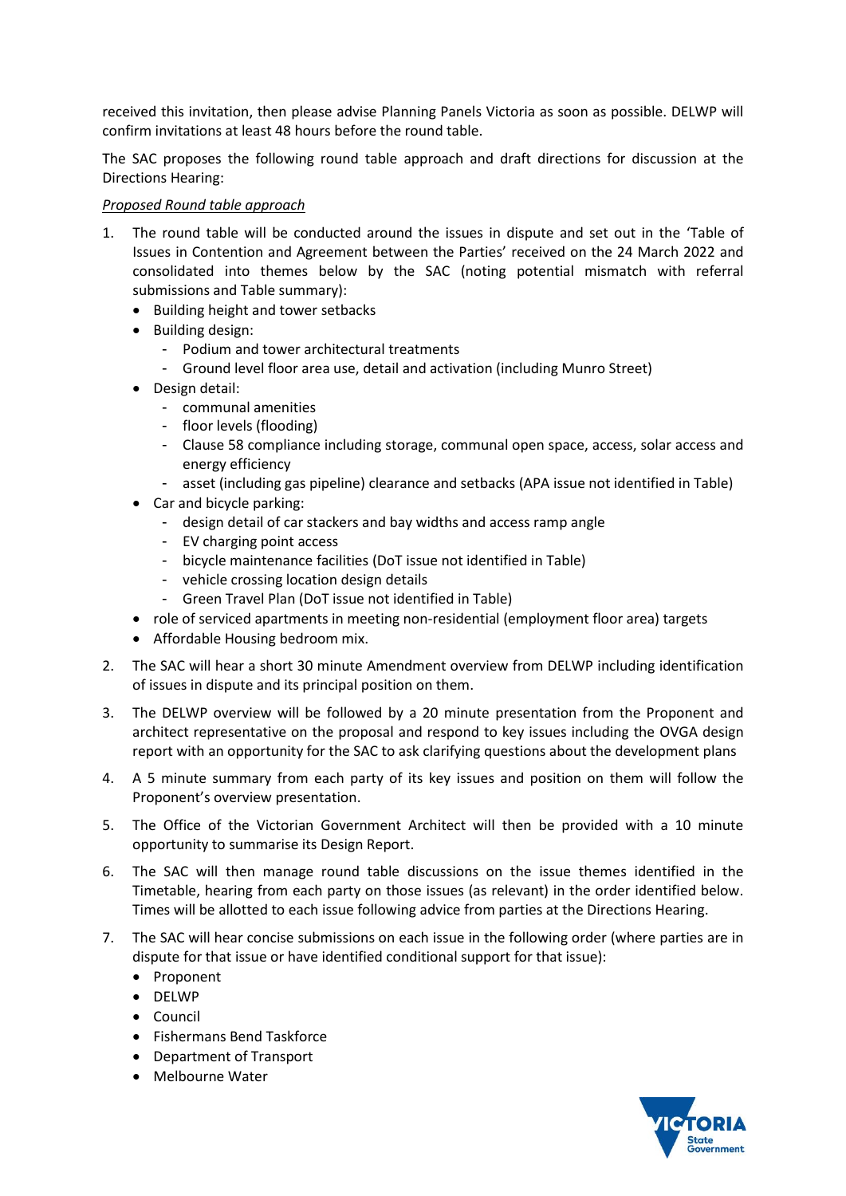received this invitation, then please advise Planning Panels Victoria as soon as possible. DELWP will confirm invitations at least 48 hours before the round table.

The SAC proposes the following round table approach and draft directions for discussion at the Directions Hearing:

## *Proposed Round table approach*

- 1. The round table will be conducted around the issues in dispute and set out in the 'Table of Issues in Contention and Agreement between the Parties' received on the 24 March 2022 and consolidated into themes below by the SAC (noting potential mismatch with referral submissions and Table summary):
	- Building height and tower setbacks
	- Building design:
		- Podium and tower architectural treatments
		- Ground level floor area use, detail and activation (including Munro Street)
	- Design detail:
		- communal amenities
		- floor levels (flooding)
		- Clause 58 compliance including storage, communal open space, access, solar access and energy efficiency
		- asset (including gas pipeline) clearance and setbacks (APA issue not identified in Table)
	- Car and bicycle parking:
		- design detail of car stackers and bay widths and access ramp angle
		- EV charging point access
		- bicycle maintenance facilities (DoT issue not identified in Table)
		- vehicle crossing location design details
		- Green Travel Plan (DoT issue not identified in Table)
	- role of serviced apartments in meeting non-residential (employment floor area) targets
	- Affordable Housing bedroom mix.
- 2. The SAC will hear a short 30 minute Amendment overview from DELWP including identification of issues in dispute and its principal position on them.
- 3. The DELWP overview will be followed by a 20 minute presentation from the Proponent and architect representative on the proposal and respond to key issues including the OVGA design report with an opportunity for the SAC to ask clarifying questions about the development plans
- 4. A 5 minute summary from each party of its key issues and position on them will follow the Proponent's overview presentation.
- 5. The Office of the Victorian Government Architect will then be provided with a 10 minute opportunity to summarise its Design Report.
- 6. The SAC will then manage round table discussions on the issue themes identified in the Timetable, hearing from each party on those issues (as relevant) in the order identified below. Times will be allotted to each issue following advice from parties at the Directions Hearing.
- 7. The SAC will hear concise submissions on each issue in the following order (where parties are in dispute for that issue or have identified conditional support for that issue):
	- Proponent
	- DELWP
	- Council
	- Fishermans Bend Taskforce
	- Department of Transport
	- Melbourne Water

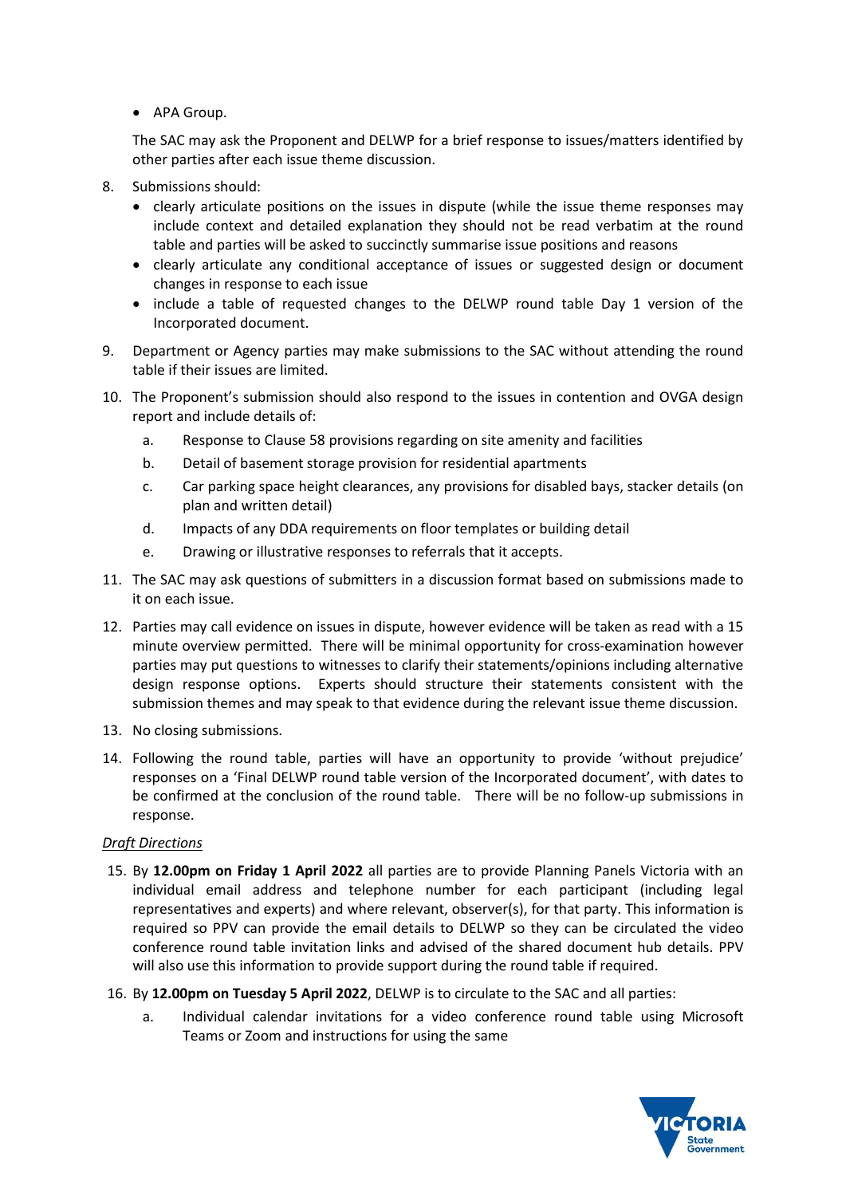• APA Group.

The SAC may ask the Proponent and DELWP for a brief response to issues/matters identified by other parties after each issue theme discussion.

- 8. Submissions should:
	- clearly articulate positions on the issues in dispute (while the issue theme responses may include context and detailed explanation they should not be read verbatim at the round table and parties will be asked to succinctly summarise issue positions and reasons
	- clearly articulate any conditional acceptance of issues or suggested design or document changes in response to each issue
	- include a table of requested changes to the DELWP round table Day 1 version of the Incorporated document.
- 9. Department or Agency parties may make submissions to the SAC without attending the round table if their issues are limited.
- 10. The Proponent's submission should also respond to the issues in contention and OVGA design report and include details of:
	- a. Response to Clause 58 provisions regarding on site amenity and facilities
	- b. Detail of basement storage provision for residential apartments
	- c. Car parking space height clearances, any provisions for disabled bays, stacker details (on plan and written detail)
	- d. Impacts of any DDA requirements on floor templates or building detail
	- e. Drawing or illustrative responses to referrals that it accepts.
- 11. The SAC may ask questions of submitters in a discussion format based on submissions made to it on each issue.
- 12. Parties may call evidence on issues in dispute, however evidence will be taken as read with a 15 minute overview permitted. There will be minimal opportunity for cross-examination however parties may put questions to witnesses to clarify their statements/opinions including alternative design response options. Experts should structure their statements consistent with the submission themes and may speak to that evidence during the relevant issue theme discussion.
- 13. No closing submissions.
- 14. Following the round table, parties will have an opportunity to provide 'without prejudice' responses on a 'Final DELWP round table version of the Incorporated document', with dates to be confirmed at the conclusion of the round table. There will be no follow-up submissions in response.

## *Draft Directions*

- 15. By **12.00pm on Friday 1 April 2022** all parties are to provide Planning Panels Victoria with an individual email address and telephone number for each participant (including legal representatives and experts) and where relevant, observer(s), for that party. This information is required so PPV can provide the email details to DELWP so they can be circulated the video conference round table invitation links and advised of the shared document hub details. PPV will also use this information to provide support during the round table if required.
- 16. By **12.00pm on Tuesday 5 April 2022**, DELWP is to circulate to the SAC and all parties:
	- a. Individual calendar invitations for a video conference round table using Microsoft Teams or Zoom and instructions for using the same

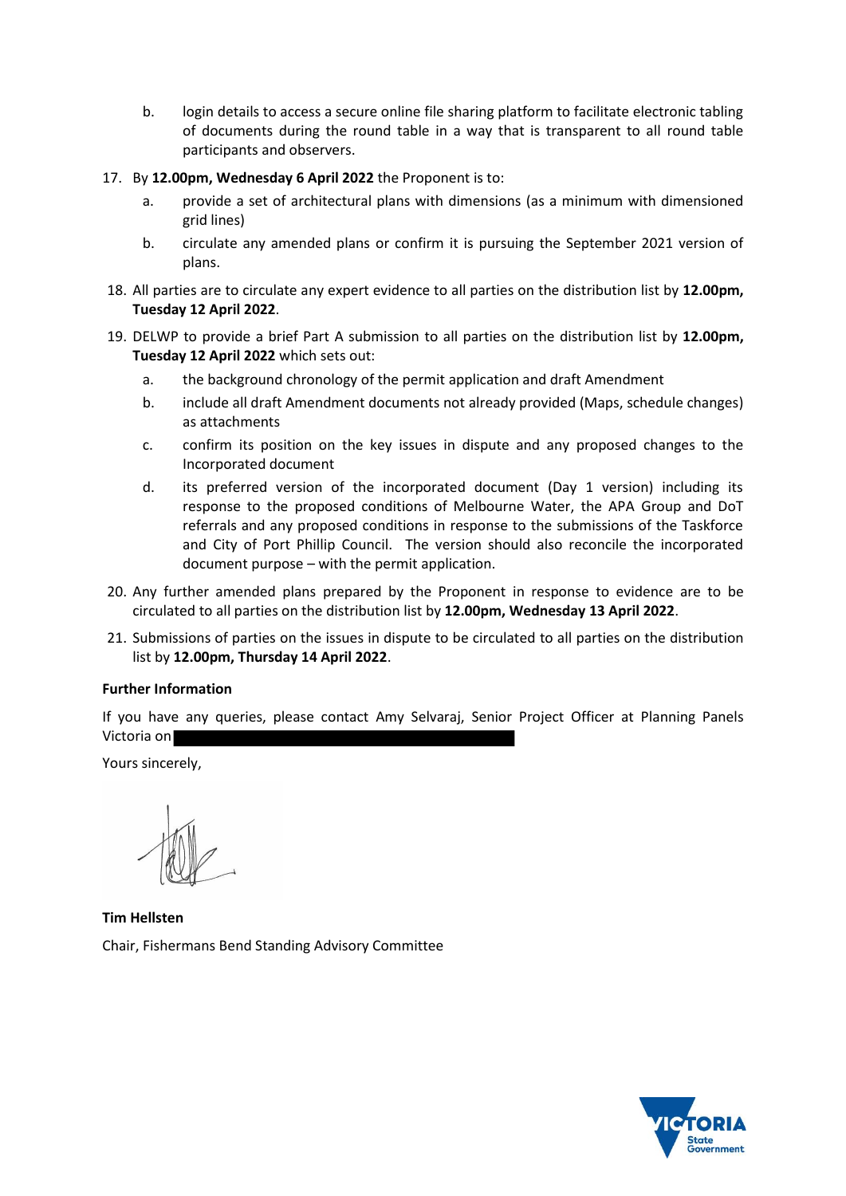- b. login details to access a secure online file sharing platform to facilitate electronic tabling of documents during the round table in a way that is transparent to all round table participants and observers.
- 17. By **12.00pm, Wednesday 6 April 2022** the Proponent is to:
	- a. provide a set of architectural plans with dimensions (as a minimum with dimensioned grid lines)
	- b. circulate any amended plans or confirm it is pursuing the September 2021 version of plans.
- 18. All parties are to circulate any expert evidence to all parties on the distribution list by **12.00pm, Tuesday 12 April 2022**.
- 19. DELWP to provide a brief Part A submission to all parties on the distribution list by **12.00pm, Tuesday 12 April 2022** which sets out:
	- a. the background chronology of the permit application and draft Amendment
	- b. include all draft Amendment documents not already provided (Maps, schedule changes) as attachments
	- c. confirm its position on the key issues in dispute and any proposed changes to the Incorporated document
	- d. its preferred version of the incorporated document (Day 1 version) including its response to the proposed conditions of Melbourne Water, the APA Group and DoT referrals and any proposed conditions in response to the submissions of the Taskforce and City of Port Phillip Council. The version should also reconcile the incorporated document purpose – with the permit application.
- 20. Any further amended plans prepared by the Proponent in response to evidence are to be circulated to all parties on the distribution list by **12.00pm, Wednesday 13 April 2022**.
- 21. Submissions of parties on the issues in dispute to be circulated to all parties on the distribution list by **12.00pm, Thursday 14 April 2022**.

# **Further Information**

If you have any queries, please contact Amy Selvaraj, Senior Project Officer at Planning Panels Victoria on

Yours sincerely,

**Tim Hellsten** Chair, Fishermans Bend Standing Advisory Committee

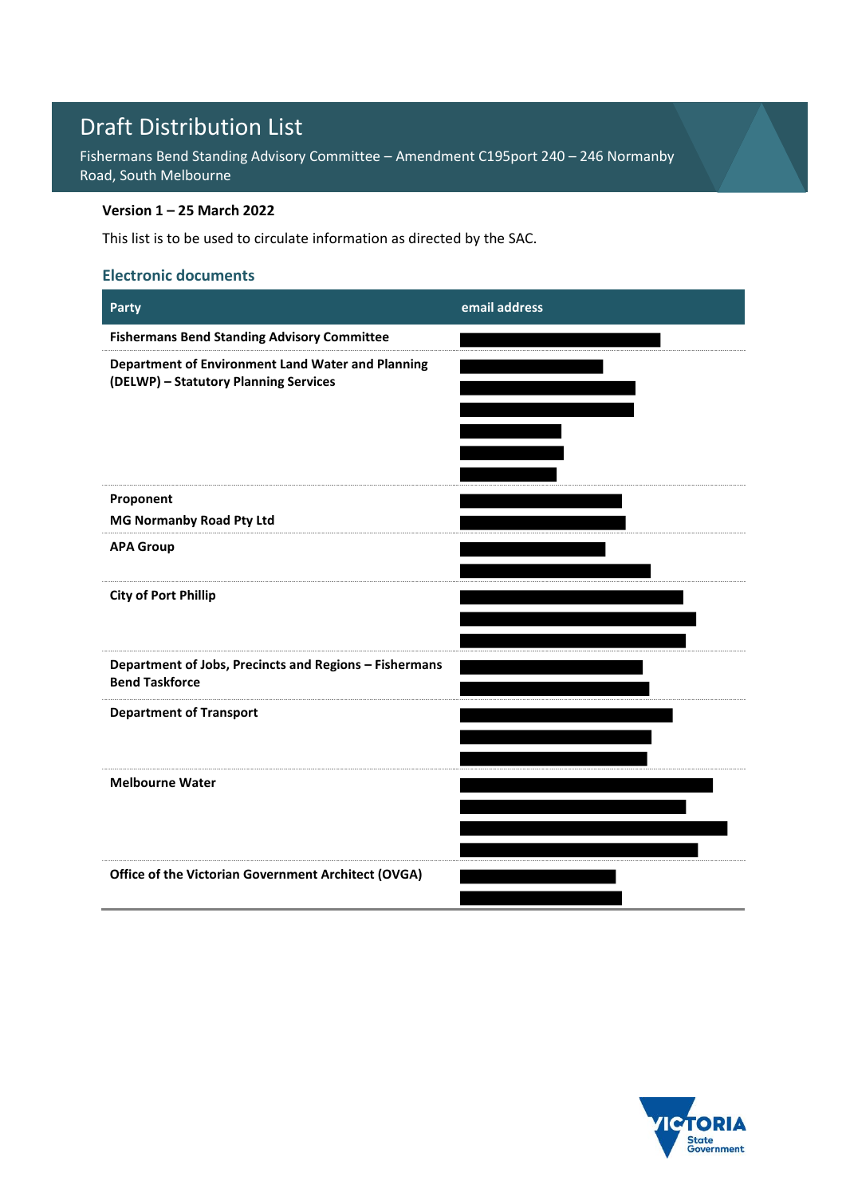# Draft Distribution List

Fishermans Bend Standing Advisory Committee – Amendment C195port 240 – 246 Normanby Road, South Melbourne

# **Version 1 – 25 March 2022**

This list is to be used to circulate information as directed by the SAC.

# **Electronic documents**

| Party                                                                                      | email address |
|--------------------------------------------------------------------------------------------|---------------|
| <b>Fishermans Bend Standing Advisory Committee</b>                                         |               |
| Department of Environment Land Water and Planning<br>(DELWP) - Statutory Planning Services |               |
| Proponent                                                                                  |               |
| MG Normanby Road Pty Ltd                                                                   |               |
| <b>APA Group</b>                                                                           |               |
| <b>City of Port Phillip</b>                                                                |               |
| Department of Jobs, Precincts and Regions - Fishermans<br><b>Bend Taskforce</b>            |               |
| <b>Department of Transport</b>                                                             |               |
| <b>Melbourne Water</b>                                                                     |               |
|                                                                                            |               |
| Office of the Victorian Government Architect (OVGA)                                        |               |